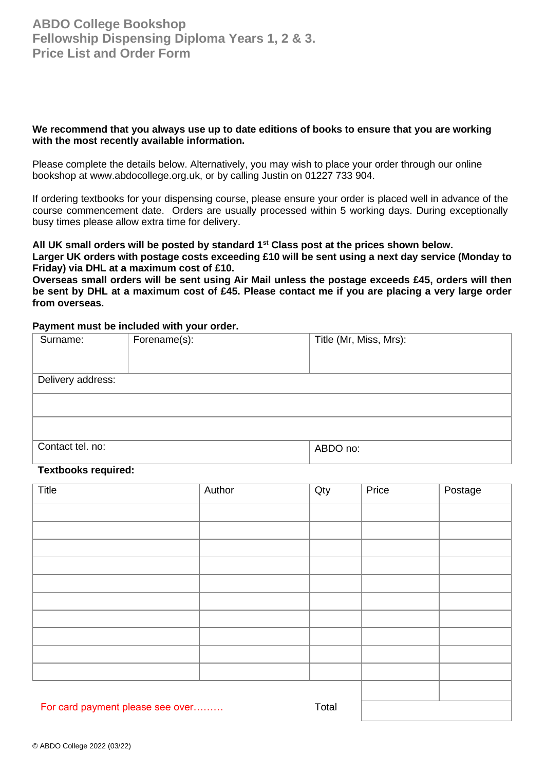### **We recommend that you always use up to date editions of books to ensure that you are working with the most recently available information.**

Please complete the details below. Alternatively, you may wish to place your order through our online bookshop at www.abdocollege.org.uk, or by calling Justin on 01227 733 904.

If ordering textbooks for your dispensing course, please ensure your order is placed well in advance of the course commencement date. Orders are usually processed within 5 working days. During exceptionally busy times please allow extra time for delivery.

**All UK small orders will be posted by standard 1st Class post at the prices shown below.** 

**Larger UK orders with postage costs exceeding £10 will be sent using a next day service (Monday to Friday) via DHL at a maximum cost of £10.** 

**Overseas small orders will be sent using Air Mail unless the postage exceeds £45, orders will then be sent by DHL at a maximum cost of £45. Please contact me if you are placing a very large order from overseas.**

### **Payment must be included with your order.**

| Surname:          | Forename(s): | Title (Mr, Miss, Mrs): |
|-------------------|--------------|------------------------|
|                   |              |                        |
|                   |              |                        |
|                   |              |                        |
| Delivery address: |              |                        |
|                   |              |                        |
|                   |              |                        |
|                   |              |                        |
|                   |              |                        |
| Contact tel. no:  |              | ABDO no:               |

#### **Textbooks required:**

| <b>Title</b>                     | Author | Qty   | Price | Postage |
|----------------------------------|--------|-------|-------|---------|
|                                  |        |       |       |         |
|                                  |        |       |       |         |
|                                  |        |       |       |         |
|                                  |        |       |       |         |
|                                  |        |       |       |         |
|                                  |        |       |       |         |
|                                  |        |       |       |         |
|                                  |        |       |       |         |
|                                  |        |       |       |         |
|                                  |        |       |       |         |
|                                  |        |       |       |         |
| For card payment please see over |        | Total |       |         |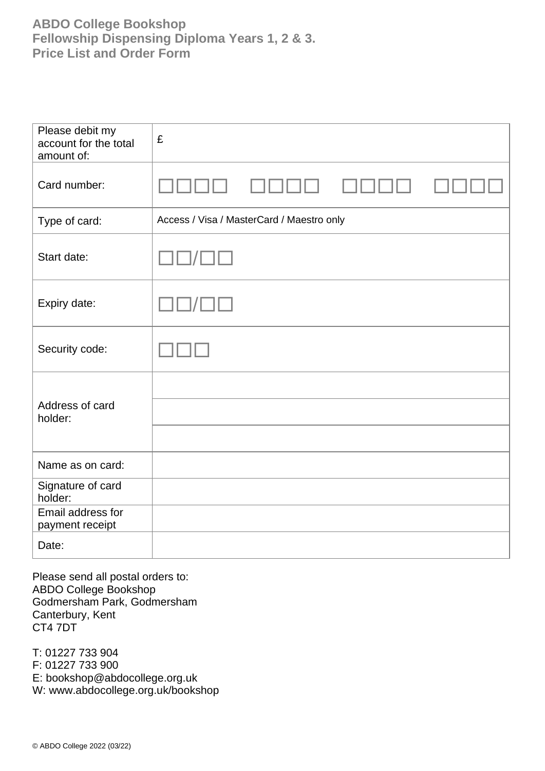## **ABDO College Bookshop Fellowship Dispensing Diploma Years 1, 2 & 3. Price List and Order Form**

| Please debit my<br>account for the total<br>amount of: | £                                         |
|--------------------------------------------------------|-------------------------------------------|
| Card number:                                           |                                           |
| Type of card:                                          | Access / Visa / MasterCard / Maestro only |
| Start date:                                            |                                           |
| Expiry date:                                           |                                           |
| Security code:                                         |                                           |
|                                                        |                                           |
| Address of card<br>holder:                             |                                           |
|                                                        |                                           |
| Name as on card:                                       |                                           |
| Signature of card<br>holder:                           |                                           |
| Email address for<br>payment receipt                   |                                           |
| Date:                                                  |                                           |

Please send all postal orders to: ABDO College Bookshop Godmersham Park, Godmersham Canterbury, Kent CT4 7DT

T: 01227 733 904 F: 01227 733 900 E: bookshop@abdocollege.org.uk W: www.abdocollege.org.uk/bookshop